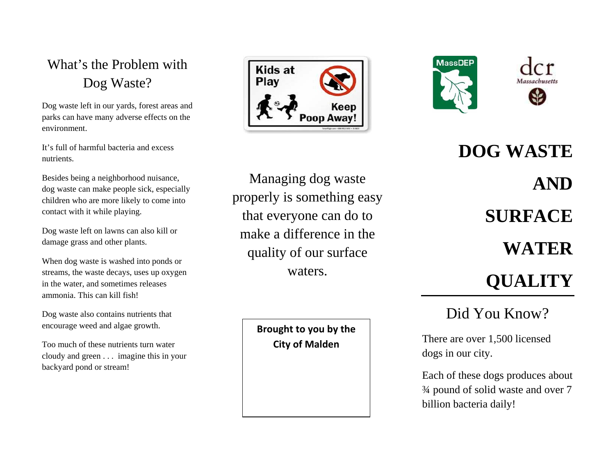### What's the Problem with Dog Waste?

Dog waste left in our yards, forest areas and parks can have many adverse effects on the environment.

It's full of harmful bacteria and excess nutrients.

Besides being a neighborhood nuisance, dog waste can make people sick, especially children who are more likely to come into contact with it while playing.

Dog waste left on lawns can also kill or damage grass and other plants.

When dog waste is washed into ponds or streams, the waste decays, uses up oxygen in the water, and sometimes releases ammonia. This can kill fish!

Dog waste also contains nutrients that encourage weed and algae growth.

Too much of these nutrients turn water cloudy and green . . . imagine this in your backyard pond or stream!





Managing dog waste properly is something easy that everyone can do to make a difference in the quality of our surface waters.

> **Brought to you by the City of Malden**

**DOG WASTE AND SURFACE WATER QUALITY**

## Did You Know?

There are over 1,500 licensed dogs in our city.

Each of these dogs produces about ¾ pound of solid waste and over 7 billion bacteria daily!